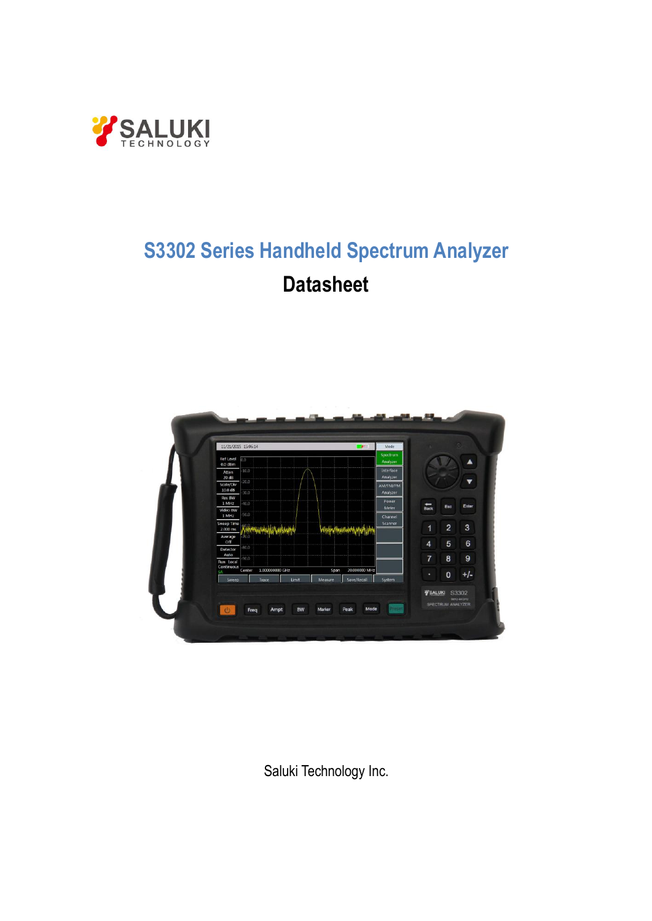

# **S3302 Series Handheld Spectrum Analyzer Datasheet**



Saluki Technology Inc.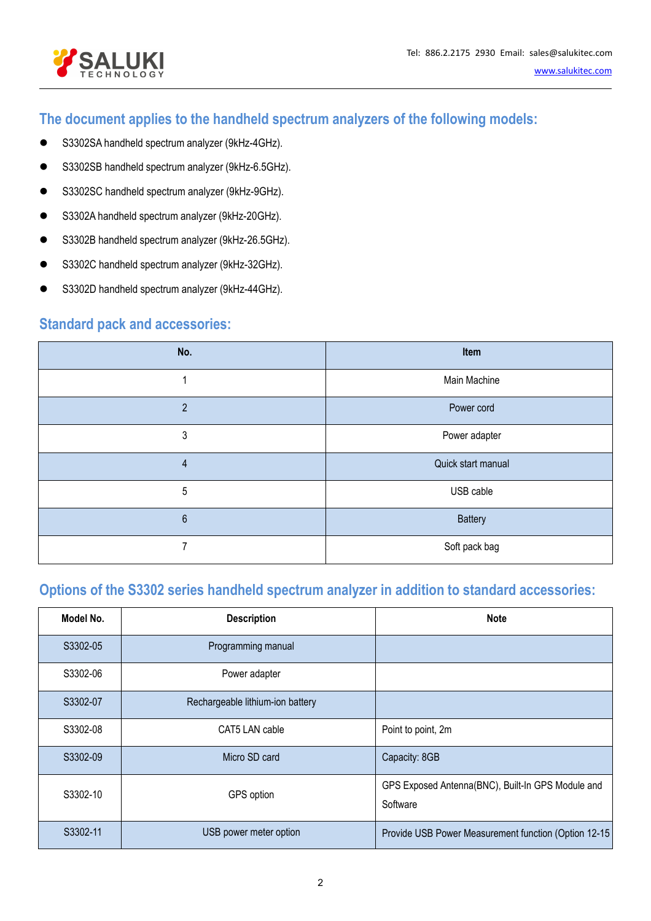



# **The document applies to the handheld spectrum analyzers of the following models:**

- S3302SA handheld spectrum analyzer (9kHz-4GHz).
- S3302SB handheld spectrum analyzer (9kHz-6.5GHz).
- S3302SC handheld spectrum analyzer (9kHz-9GHz).
- S3302A handheld spectrum analyzer (9kHz-20GHz).
- S3302B handheld spectrum analyzer (9kHz-26.5GHz).
- S3302C handheld spectrum analyzer (9kHz-32GHz).
- S3302D handheld spectrum analyzer (9kHz-44GHz).

### **Standard pack and accessories:**

| No.                     | Item               |
|-------------------------|--------------------|
| 4                       | Main Machine       |
| $\overline{2}$          | Power cord         |
| 3                       | Power adapter      |
| $\overline{\mathbf{4}}$ | Quick start manual |
| 5                       | USB cable          |
| $6\,$                   | Battery            |
| 7                       | Soft pack bag      |

# **Options of the S3302 series handheld spectrum analyzer in addition to standard accessories:**

| Model No. | <b>Description</b>               | <b>Note</b>                                                   |
|-----------|----------------------------------|---------------------------------------------------------------|
| S3302-05  | Programming manual               |                                                               |
| S3302-06  | Power adapter                    |                                                               |
| S3302-07  | Rechargeable lithium-ion battery |                                                               |
| S3302-08  | CAT5 LAN cable                   | Point to point, 2m                                            |
| S3302-09  | Micro SD card                    | Capacity: 8GB                                                 |
| S3302-10  | GPS option                       | GPS Exposed Antenna(BNC), Built-In GPS Module and<br>Software |
| S3302-11  | USB power meter option           | Provide USB Power Measurement function (Option 12-15          |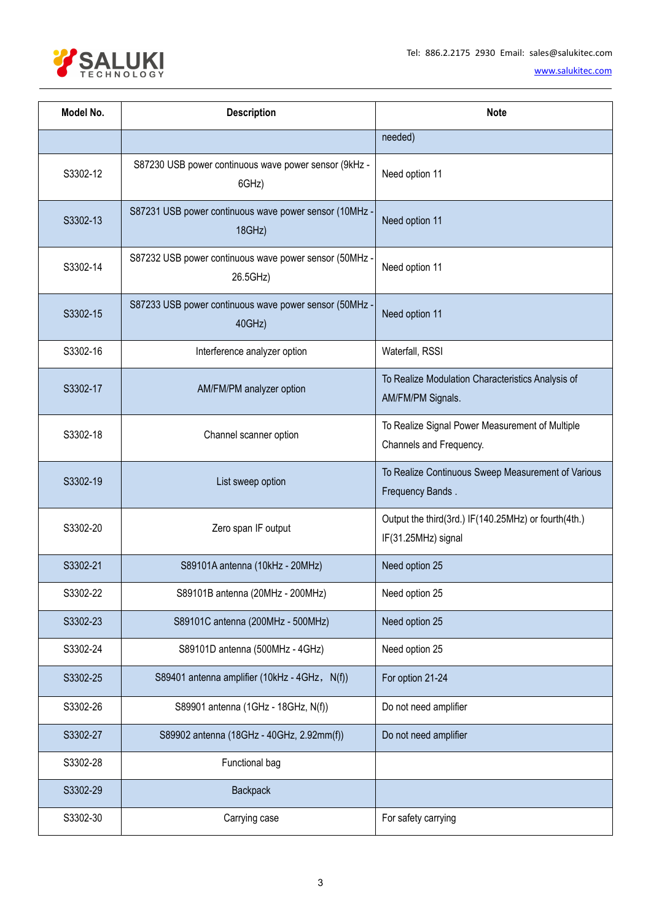

| Model No. | <b>Description</b>                                                 | <b>Note</b>                                                                 |  |
|-----------|--------------------------------------------------------------------|-----------------------------------------------------------------------------|--|
|           |                                                                    | needed)                                                                     |  |
| S3302-12  | S87230 USB power continuous wave power sensor (9kHz -<br>6GHz)     | Need option 11                                                              |  |
| S3302-13  | S87231 USB power continuous wave power sensor (10MHz -<br>18GHz)   | Need option 11                                                              |  |
| S3302-14  | S87232 USB power continuous wave power sensor (50MHz -<br>26.5GHz) | Need option 11                                                              |  |
| S3302-15  | S87233 USB power continuous wave power sensor (50MHz -<br>40GHz)   | Need option 11                                                              |  |
| S3302-16  | Interference analyzer option                                       | Waterfall, RSSI                                                             |  |
| S3302-17  | AM/FM/PM analyzer option                                           | To Realize Modulation Characteristics Analysis of<br>AM/FM/PM Signals.      |  |
| S3302-18  | Channel scanner option                                             | To Realize Signal Power Measurement of Multiple<br>Channels and Frequency.  |  |
| S3302-19  | List sweep option                                                  | To Realize Continuous Sweep Measurement of Various<br>Frequency Bands.      |  |
| S3302-20  | Zero span IF output                                                | Output the third(3rd.) IF(140.25MHz) or fourth(4th.)<br>IF(31.25MHz) signal |  |
| S3302-21  | S89101A antenna (10kHz - 20MHz)                                    | Need option 25                                                              |  |
| S3302-22  | S89101B antenna (20MHz - 200MHz)                                   | Need option 25                                                              |  |
| S3302-23  | S89101C antenna (200MHz - 500MHz)                                  | Need option 25                                                              |  |
| S3302-24  | S89101D antenna (500MHz - 4GHz)                                    | Need option 25                                                              |  |
| S3302-25  | S89401 antenna amplifier (10kHz - 4GHz, N(f))                      | For option 21-24                                                            |  |
| S3302-26  | S89901 antenna (1GHz - 18GHz, N(f))                                | Do not need amplifier                                                       |  |
| S3302-27  | S89902 antenna (18GHz - 40GHz, 2.92mm(f))                          | Do not need amplifier                                                       |  |
| S3302-28  | Functional bag                                                     |                                                                             |  |
| S3302-29  | Backpack                                                           |                                                                             |  |
| S3302-30  | Carrying case                                                      | For safety carrying                                                         |  |
|           |                                                                    |                                                                             |  |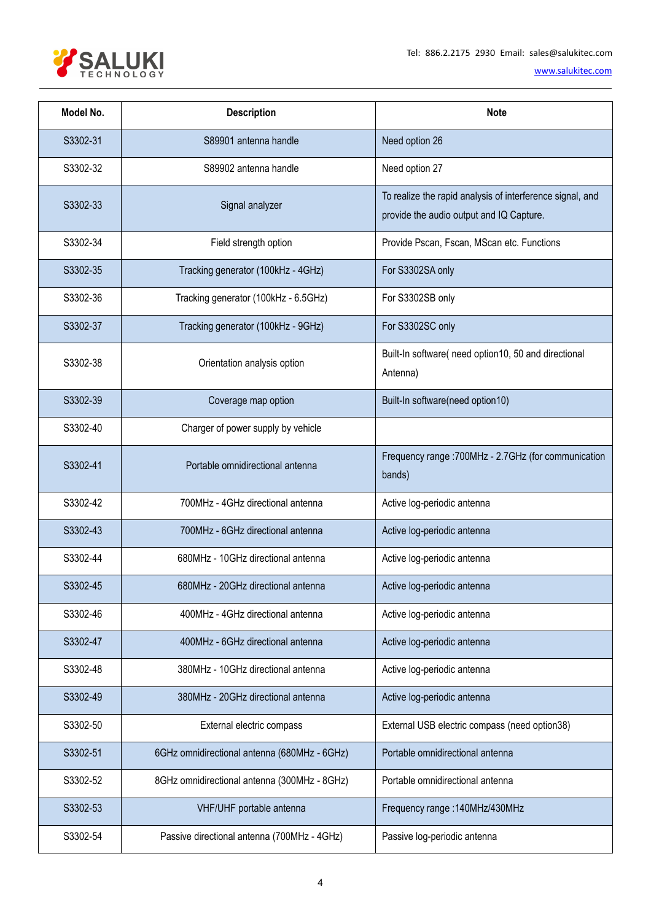

| Model No. | <b>Description</b>                           | <b>Note</b>                                                                                           |  |
|-----------|----------------------------------------------|-------------------------------------------------------------------------------------------------------|--|
| S3302-31  | S89901 antenna handle                        | Need option 26                                                                                        |  |
| S3302-32  | S89902 antenna handle                        | Need option 27                                                                                        |  |
| S3302-33  | Signal analyzer                              | To realize the rapid analysis of interference signal, and<br>provide the audio output and IQ Capture. |  |
| S3302-34  | Field strength option                        | Provide Pscan, Fscan, MScan etc. Functions                                                            |  |
| S3302-35  | Tracking generator (100kHz - 4GHz)           | For S3302SA only                                                                                      |  |
| S3302-36  | Tracking generator (100kHz - 6.5GHz)         | For S3302SB only                                                                                      |  |
| S3302-37  | Tracking generator (100kHz - 9GHz)           | For S3302SC only                                                                                      |  |
| S3302-38  | Orientation analysis option                  | Built-In software( need option10, 50 and directional<br>Antenna)                                      |  |
| S3302-39  | Coverage map option                          | Built-In software(need option10)                                                                      |  |
| S3302-40  | Charger of power supply by vehicle           |                                                                                                       |  |
| S3302-41  | Portable omnidirectional antenna             | Frequency range : 700MHz - 2.7GHz (for communication<br>bands)                                        |  |
| S3302-42  | 700MHz - 4GHz directional antenna            | Active log-periodic antenna                                                                           |  |
| S3302-43  | 700MHz - 6GHz directional antenna            | Active log-periodic antenna                                                                           |  |
| S3302-44  | 680MHz - 10GHz directional antenna           | Active log-periodic antenna                                                                           |  |
| S3302-45  | 680MHz - 20GHz directional antenna           | Active log-periodic antenna                                                                           |  |
| S3302-46  | 400MHz - 4GHz directional antenna            | Active log-periodic antenna                                                                           |  |
| S3302-47  | 400MHz - 6GHz directional antenna            | Active log-periodic antenna                                                                           |  |
| S3302-48  | 380MHz - 10GHz directional antenna           | Active log-periodic antenna                                                                           |  |
| S3302-49  | 380MHz - 20GHz directional antenna           | Active log-periodic antenna                                                                           |  |
| S3302-50  | External electric compass                    | External USB electric compass (need option38)                                                         |  |
| S3302-51  | 6GHz omnidirectional antenna (680MHz - 6GHz) | Portable omnidirectional antenna                                                                      |  |
| S3302-52  | 8GHz omnidirectional antenna (300MHz - 8GHz) | Portable omnidirectional antenna                                                                      |  |
| S3302-53  | VHF/UHF portable antenna                     | Frequency range : 140MHz/430MHz                                                                       |  |
| S3302-54  | Passive directional antenna (700MHz - 4GHz)  | Passive log-periodic antenna                                                                          |  |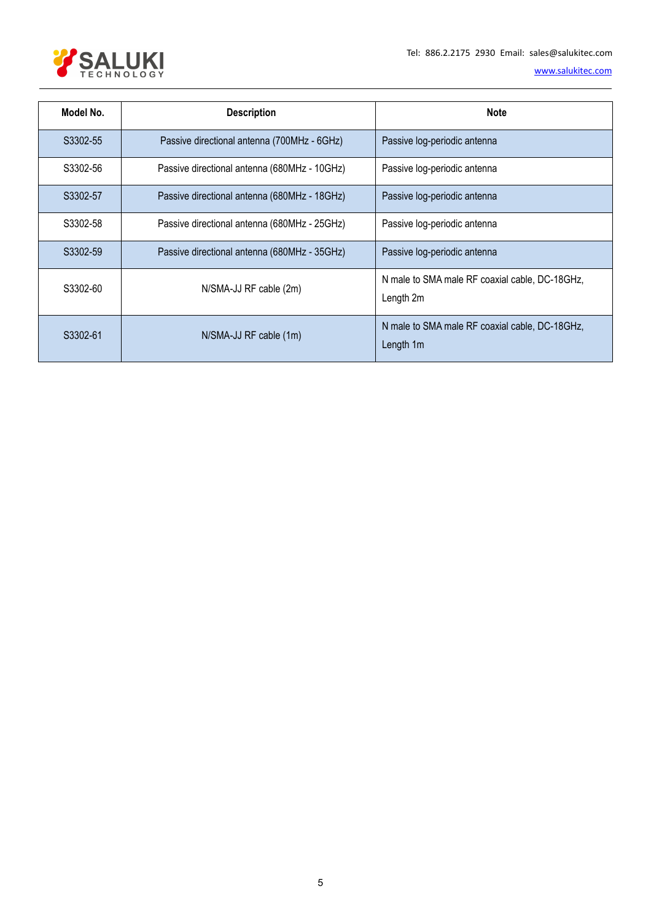

| Model No. | <b>Description</b><br><b>Note</b>            |                                                             |
|-----------|----------------------------------------------|-------------------------------------------------------------|
| S3302-55  | Passive directional antenna (700MHz - 6GHz)  | Passive log-periodic antenna                                |
| S3302-56  | Passive directional antenna (680MHz - 10GHz) | Passive log-periodic antenna                                |
| S3302-57  | Passive directional antenna (680MHz - 18GHz) | Passive log-periodic antenna                                |
| S3302-58  | Passive directional antenna (680MHz - 25GHz) | Passive log-periodic antenna                                |
| S3302-59  | Passive directional antenna (680MHz - 35GHz) | Passive log-periodic antenna                                |
| S3302-60  | N/SMA-JJ RF cable (2m)                       | N male to SMA male RF coaxial cable, DC-18GHz,<br>Length 2m |
| S3302-61  | N/SMA-JJ RF cable (1m)                       | N male to SMA male RF coaxial cable, DC-18GHz,<br>Length 1m |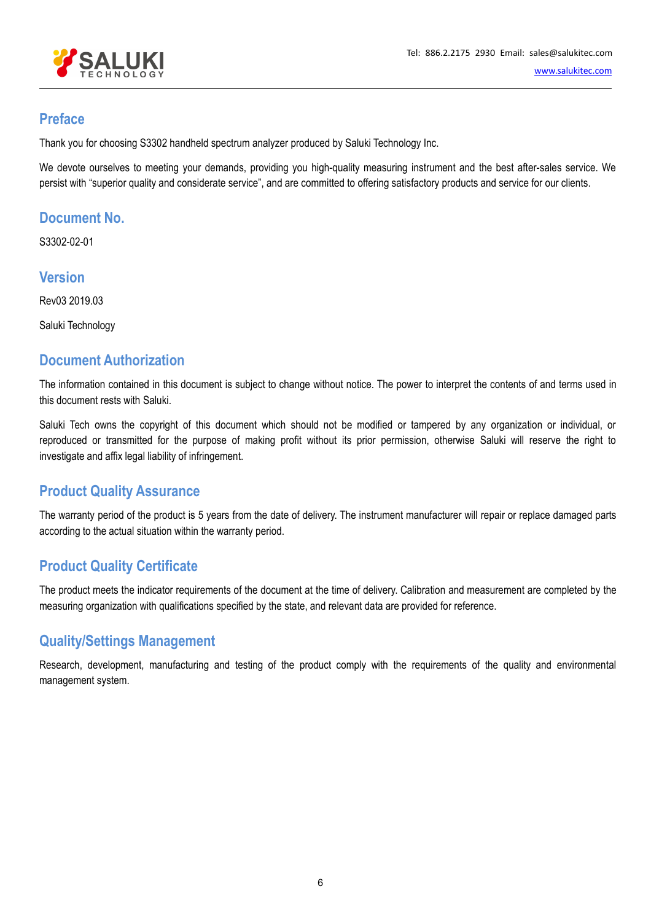

## **Preface**

Thank you for choosing S3302 handheld spectrum analyzer produced by Saluki Technology Inc.

We devote ourselves to meeting your demands, providing you high-quality measuring instrument and the best after-sales service. We persist with "superior quality and considerate service", and are committed to offering satisfactory products and service for our clients.

# **Document No.**

S3302-02-01

#### **Version**

Rev03 2019.03

Saluki Technology

### **Document Authorization**

The information contained in this document is subject to change without notice. The power to interpret the contents ofand terms used in this document rests with Saluki.

Saluki Tech owns the copyright of this document which should not be modified or tampered by any organization or individual, or reproduced or transmitted for the purpose of making profit without its prior permission, otherwise Saluki will reserve the right to investigate and affix legal liability of infringement.

# **Product Quality Assurance**

The warranty period of the product is 5 years from the date of delivery. The instrument manufacturer will repair or replace damaged parts according to the actual situation within the warranty period.

# **Product Quality Certificate**

The product meets the indicator requirements of the document at the time of delivery. Calibration and measurement are completed by the measuring organization with qualifications specified by the state, and relevant data are provided for reference.

# **Quality/Settings Management**

Research, development, manufacturing and testing of the product comply with the requirements of the quality and environmental management system.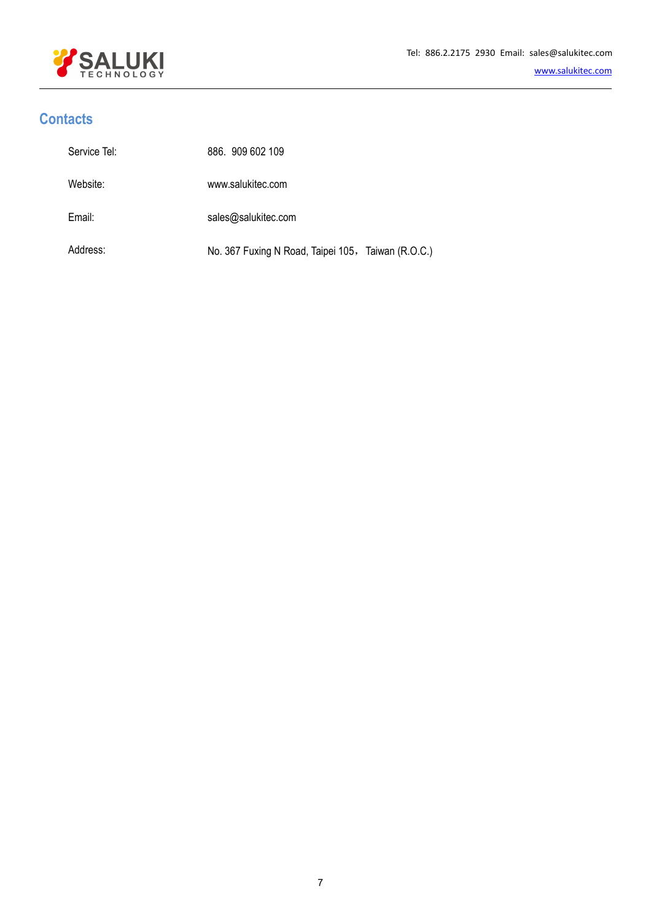

# **Contacts**

| Service Tel: | 886. 909 602 109                                   |
|--------------|----------------------------------------------------|
| Website:     | www.salukitec.com                                  |
| Email:       | sales@salukitec.com                                |
| Address:     | No. 367 Fuxing N Road, Taipei 105, Taiwan (R.O.C.) |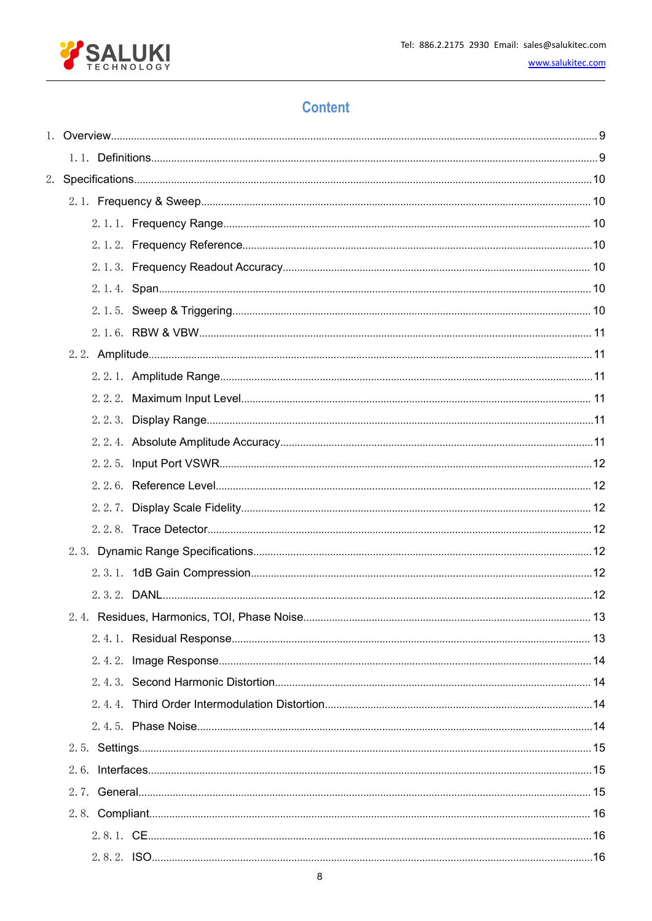

# **Content**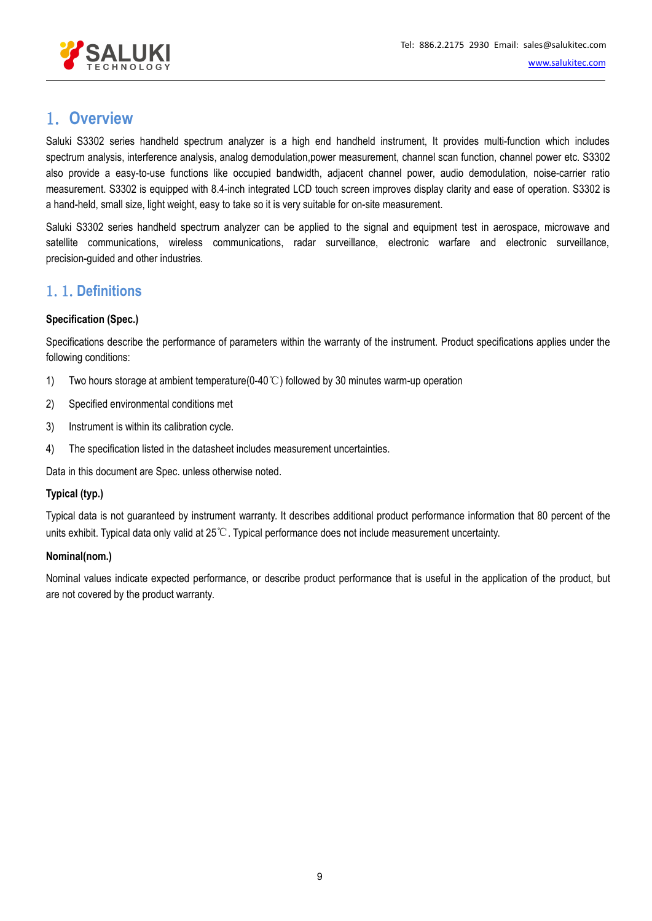

# <span id="page-8-0"></span>1. **Overview**

Saluki S3302 series handheld spectrum analyzer is a high end handheld instrument. It provides multi-function which includes spectrum analysis, interference analysis, analog demodulation,power measurement, channel scan function, channel power etc. S3302 also provide a easy-to-use functions like occupied bandwidth, adjacent channel power, audio demodulation, noise-carrier ratio measurement. S3302 is equipped with 8.4-inch integrated LCD touch screen improves display clarity and ease of operation. S3302 is a hand-held, small size, light weight, easy to take so it is very suitable for on-site measurement.

Saluki S3302 series handheld spectrum analyzer can be applied to the signal and equipment test in aerospace, microwave and satellite communications, wireless communications, radar surveillance, electronic warfare and electronic surveillance, precision-guided and other industries.

# <span id="page-8-1"></span>1.1.**Definitions**

#### **Specification (Spec.)**

Specifications describe the performance of parameters within the warranty of the instrument. Product specifications applies under the following conditions:

- 1) Two hours storage at ambient temperature(0-40℃) followed by 30 minutes warm-up operation
- 2) Specified environmental conditions met
- 3) Instrument is within its calibration cycle.
- 4) The specification listed in the datasheet includes measurement uncertainties.

Data in this document are Spec. unless otherwise noted.

#### **Typical (typ.)**

Typical data is not guaranteed by instrument warranty. It describes additional product performance information that 80 percent of the units exhibit. Typical data only valid at 25℃. Typical performance does not include measurement uncertainty.

#### **Nominal(nom.)**

Nominal values indicate expected performance, or describe product performance that is useful in the application of the product, but are not covered by the product warranty.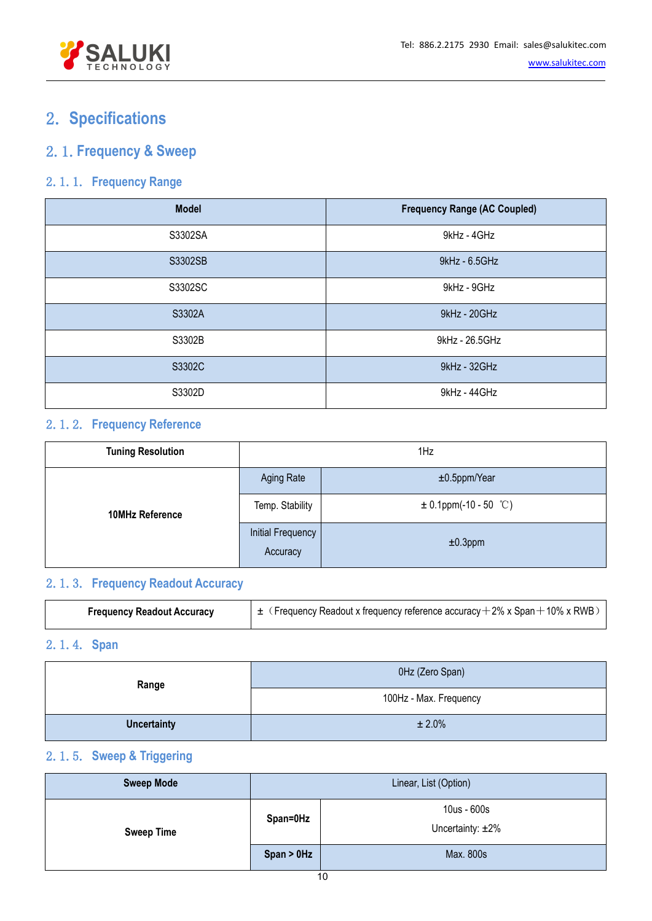

# <span id="page-9-0"></span>2. **Specifications**

# <span id="page-9-1"></span>2.1.**Frequency & Sweep**

### <span id="page-9-2"></span>2.1.1. **Frequency Range**

| <b>Model</b> | <b>Frequency Range (AC Coupled)</b> |
|--------------|-------------------------------------|
| S3302SA      | 9kHz - 4GHz                         |
| S3302SB      | 9kHz - 6.5GHz                       |
| S3302SC      | 9kHz - 9GHz                         |
| S3302A       | 9kHz - 20GHz                        |
| S3302B       | 9kHz - 26.5GHz                      |
| S3302C       | 9kHz - 32GHz                        |
| S3302D       | 9kHz - 44GHz                        |

### <span id="page-9-3"></span>2.1.2. **Frequency Reference**

| <b>Tuning Resolution</b> | 1Hz                           |                           |
|--------------------------|-------------------------------|---------------------------|
|                          | Aging Rate                    | $±0.5$ ppm/Year           |
| <b>10MHz Reference</b>   | Temp. Stability               | $\pm$ 0.1ppm(-10 - 50 °C) |
|                          | Initial Frequency<br>Accuracy | $±0.3$ ppm                |

# 2.1.3. **Frequency Readout Accuracy**

<span id="page-9-4"></span>

|--|

# <span id="page-9-5"></span>2.1.4. **Span**

| Range              | 0Hz (Zero Span)        |
|--------------------|------------------------|
|                    | 100Hz - Max. Frequency |
| <b>Uncertainty</b> | ± 2.0%                 |

# <span id="page-9-6"></span>2.1.5. **Sweep & Triggering**

| <b>Sweep Mode</b> | Linear, List (Option) |                                       |
|-------------------|-----------------------|---------------------------------------|
| <b>Sweep Time</b> | Span=0Hz              | 10us - 600s<br>Uncertainty: $\pm 2\%$ |
|                   | $Span > 0$ Hz         | Max. 800s                             |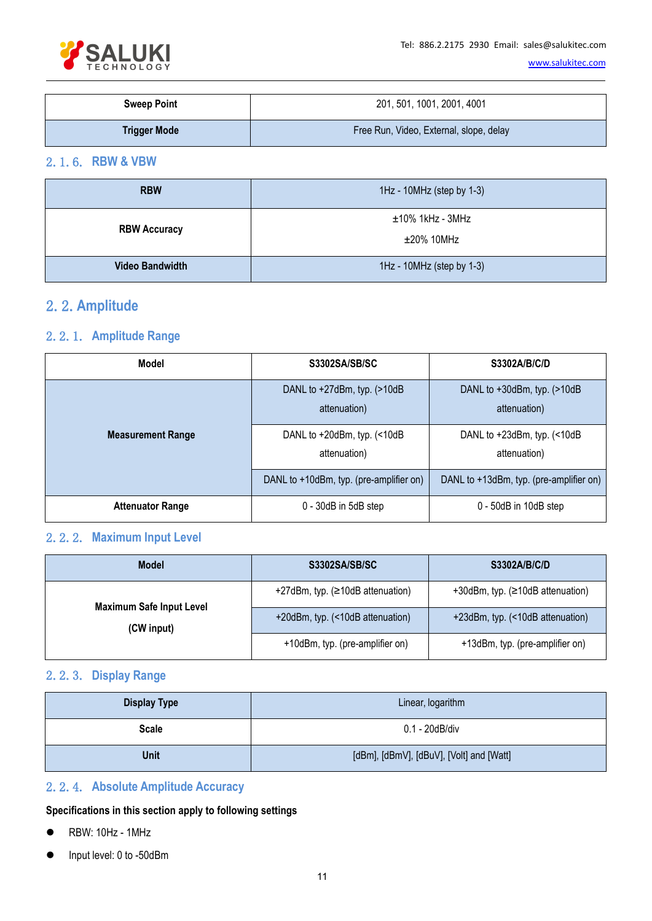

| <b>Sweep Point</b>  | 201, 501, 1001, 2001, 4001              |
|---------------------|-----------------------------------------|
| <b>Trigger Mode</b> | Free Run, Video, External, slope, delay |

#### <span id="page-10-0"></span>2.1.6. **RBW & VBW**

| <b>RBW</b>             | 1Hz - 10MHz (step by 1-3) |
|------------------------|---------------------------|
| <b>RBW Accuracy</b>    | $±10\%$ 1kHz - 3MHz       |
|                        | $\pm 20\%$ 10MHz          |
| <b>Video Bandwidth</b> | 1Hz - 10MHz (step by 1-3) |

# <span id="page-10-1"></span>2.2.**Amplitude**

#### <span id="page-10-2"></span>2.2.1. **Amplitude Range**

| <b>Model</b>             | <b>S3302SA/SB/SC</b>                              | S3302A/B/C/D                                 |
|--------------------------|---------------------------------------------------|----------------------------------------------|
|                          | DANL to $+27$ dBm, typ. $(>10$ dB<br>attenuation) | DANL to +30dBm, typ. (>10dB)<br>attenuation) |
| <b>Measurement Range</b> | DANL to +20dBm, typ. (<10dB<br>attenuation)       | DANL to +23dBm, typ. (<10dB)<br>attenuation) |
|                          | DANL to +10dBm, typ. (pre-amplifier on)           | DANL to +13dBm, typ. (pre-amplifier on)      |
| <b>Attenuator Range</b>  | 0 - 30dB in 5dB step                              | 0 - 50dB in 10dB step                        |

# <span id="page-10-3"></span>2.2.2. **Maximum Input Level**

| <b>Model</b>                                  | S3302SA/SB/SC                    | <b>S3302A/B/C/D</b>              |
|-----------------------------------------------|----------------------------------|----------------------------------|
|                                               | +27dBm, typ. (≥10dB attenuation) | +30dBm, typ. (≥10dB attenuation) |
| <b>Maximum Safe Input Level</b><br>(CW input) | +20dBm, typ. (<10dB attenuation) | +23dBm, typ. (<10dB attenuation) |
|                                               | +10dBm, typ. (pre-amplifier on)  | +13dBm, typ. (pre-amplifier on)  |

### <span id="page-10-4"></span>2.2.3. **Display Range**

| <b>Display Type</b> | Linear, logarithm                        |
|---------------------|------------------------------------------|
| <b>Scale</b>        | 0.1 - 20dB/div                           |
| <b>Unit</b>         | [dBm], [dBmV], [dBuV], [Volt] and [Watt] |

### <span id="page-10-5"></span>2.2.4. **Absolute Amplitude Accuracy**

**Specifications in this section apply to following settings**

- RBW: 10Hz 1MHz
- Input level: 0 to -50dBm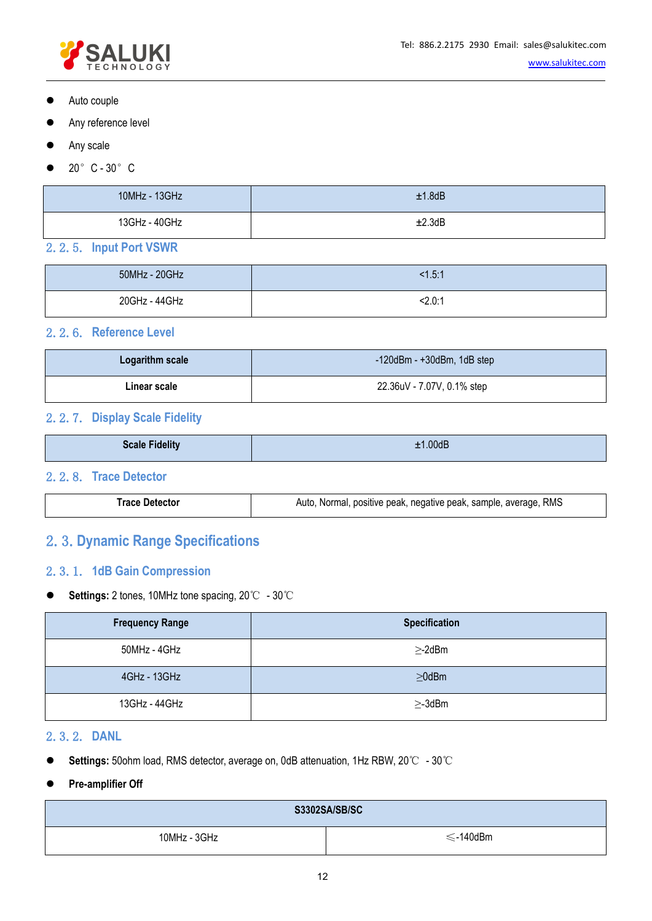

- Auto couple
- Any reference level
- Any scale
- $\bullet$  20° C 30° C

| 10MHz - 13GHz | ±1.8dB |
|---------------|--------|
| 13GHz - 40GHz | ±2.3dB |

#### <span id="page-11-0"></span>2.2.5. **Input PortVSWR**

| 50MHz - 20GHz | <1.5:1 |
|---------------|--------|
| 20GHz - 44GHz | 2.0:1  |

#### <span id="page-11-1"></span>2.2.6. **Reference Level**

| Logarithm scale | $-120$ dBm - $+30$ dBm, 1dB step |
|-----------------|----------------------------------|
| Linear scale    | 22.36uV - 7.07V, 0.1% step       |

#### <span id="page-11-2"></span>2.2.7. **Display Scale Fidelity**

| <b>Scale Fidelity</b><br>±1.00dB |
|----------------------------------|
|----------------------------------|

#### 2.2.8. **Trace Detector**

<span id="page-11-3"></span>

|--|

# <span id="page-11-4"></span>2.3.**Dynamic Range Specifications**

#### <span id="page-11-5"></span>2.3.1. **1dB Gain Compression**

#### **Settings:** 2tones, 10MHz tone spacing, 20℃ - 30℃

| <b>Frequency Range</b> | <b>Specification</b> |
|------------------------|----------------------|
| 50MHz - 4GHz           | $\geq$ -2dBm         |
| 4GHz - 13GHz           | $\geq 0$ dBm         |
| 13GHz - 44GHz          | $\geq$ -3dBm         |

#### <span id="page-11-6"></span>2.3.2. **DANL**

- **Settings:** 50ohm load, RMS detector, average on, 0dB attenuation, 1Hz RBW, 20℃ 30℃
- **Pre-amplifier Off**

| <b>S3302SA/SB/SC</b> |          |
|----------------------|----------|
| 10MHz - 3GHz         | ≲-140dBm |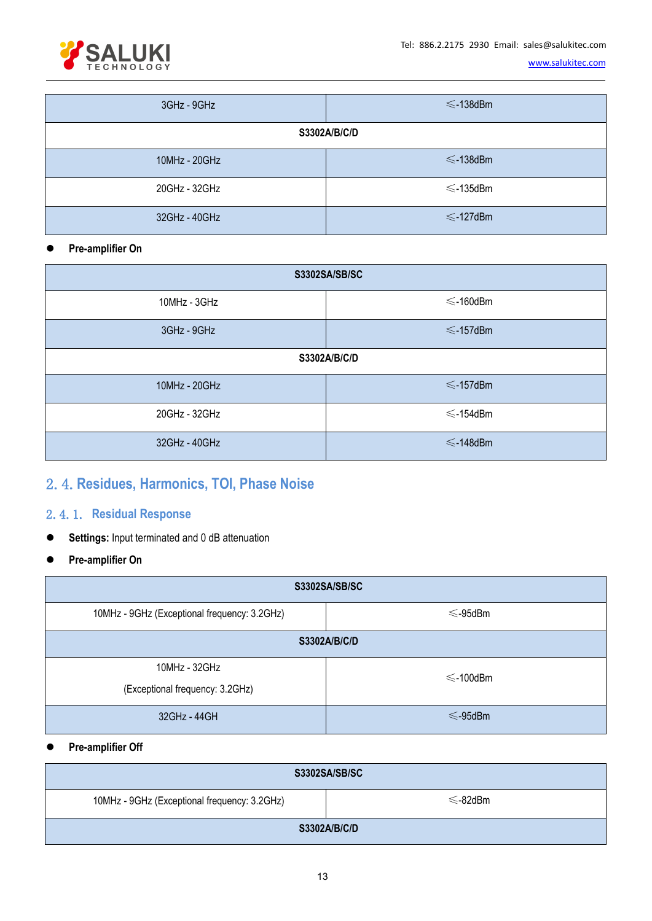

| 3GHz - 9GHz   | $\leq$ -138dBm |
|---------------|----------------|
|               | S3302A/B/C/D   |
| 10MHz - 20GHz | $\leq$ -138dBm |
| 20GHz - 32GHz | $\leq$ -135dBm |
| 32GHz - 40GHz | $\leq$ -127dBm |

#### **Pre-amplifier On**

<span id="page-12-0"></span>

| <b>S3302SA/SB/SC</b> |                |
|----------------------|----------------|
| 10MHz - 3GHz         | $\leq$ -160dBm |
| 3GHz - 9GHz          | $\leq$ -157dBm |
|                      | S3302A/B/C/D   |
| 10MHz - 20GHz        | $\leq$ -157dBm |
| 20GHz - 32GHz        | $\leq$ -154dBm |
| 32GHz - 40GHz        | $\leq$ -148dBm |

# 2.4.**Residues, Harmonics, TOI, Phase Noise**

#### <span id="page-12-1"></span>2.4.1. **Residual Response**

- **Settings:** Input terminated and 0 dB attenuation
- **Pre-amplifier On**

| <b>S3302SA/SB/SC</b>                         |                |
|----------------------------------------------|----------------|
| 10MHz - 9GHz (Exceptional frequency: 3.2GHz) | $\leq$ -95dBm  |
|                                              | S3302A/B/C/D   |
| 10MHz - 32GHz                                | $\leq$ -100dBm |
| (Exceptional frequency: 3.2GHz)              |                |
| 32GHz - 44GH                                 | $\leq$ -95dBm  |

#### **Pre-amplifier Off**

| <b>S3302SA/SB/SC</b>                         |               |
|----------------------------------------------|---------------|
| 10MHz - 9GHz (Exceptional frequency: 3.2GHz) | $\leq$ -82dBm |
|                                              | S3302A/B/C/D  |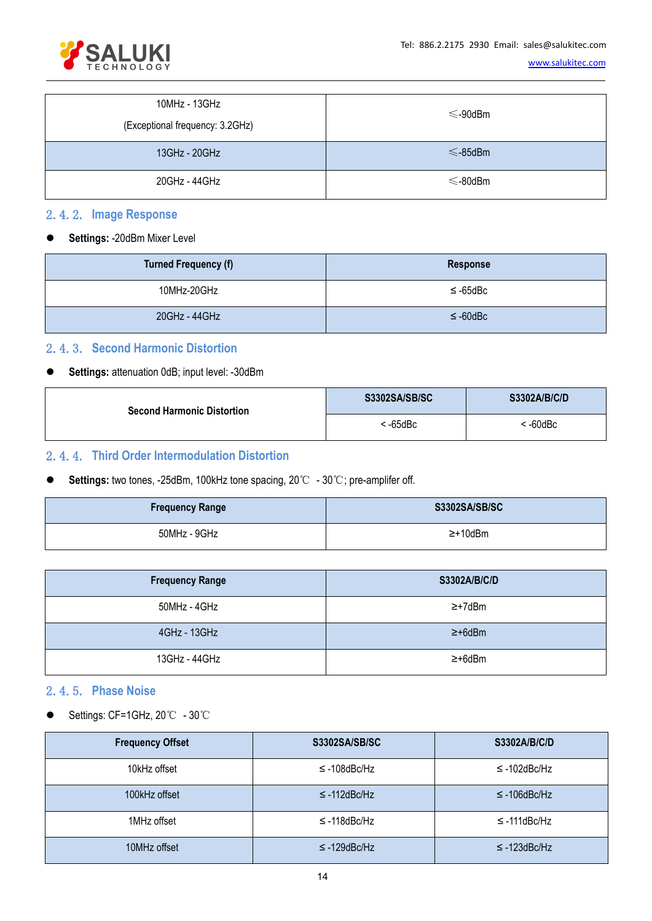

| 10MHz - 13GHz<br>(Exceptional frequency: 3.2GHz) | $\leq$ -90dBm |
|--------------------------------------------------|---------------|
| 13GHz - 20GHz                                    | $\leq$ -85dBm |
| 20GHz - 44GHz                                    | $\leq$ -80dBm |

#### <span id="page-13-0"></span>2.4.2. **Image Response**

**Settings:** -20dBm Mixer Level

| <b>Turned Frequency (f)</b> | Response      |
|-----------------------------|---------------|
| 10MHz-20GHz                 | $\leq$ -65dBc |
| 20GHz - 44GHz               | $\leq$ -60dBc |

#### <span id="page-13-1"></span>2.4.3. **Second Harmonic Distortion**

#### **Settings:** attenuation 0dB; input level: -30dBm

| <b>Second Harmonic Distortion</b> | <b>S3302SA/SB/SC</b> | S3302A/B/C/D |  |
|-----------------------------------|----------------------|--------------|--|
|                                   | -65dBc               | $-60$ d $Bc$ |  |

### <span id="page-13-2"></span>2.4.4. **Third Order Intermodulation Distortion**

**Settings:** two tones, -25dBm, 100kHz tone spacing, 20℃ - 30℃; pre-amplifer off.

| <b>Frequency Range</b> | S3302SA/SB/SC  |
|------------------------|----------------|
| 50MHz - 9GHz           | $\geq +10$ dBm |

| <b>Frequency Range</b> | S3302A/B/C/D  |
|------------------------|---------------|
| 50MHz - 4GHz           | ≥+7dBm        |
| 4GHz - 13GHz           | $\geq +6d$ Bm |
| 13GHz - 44GHz          | ≥+6dBm        |

#### <span id="page-13-3"></span>2.4.5. **Phase Noise**

Settings: CF=1GHz, 20℃ - 30℃

| <b>Frequency Offset</b> | <b>S3302SA/SB/SC</b> | <b>S3302A/B/C/D</b> |
|-------------------------|----------------------|---------------------|
| 10kHz offset            | $\leq$ -108dBc/Hz    | $\leq$ -102dBc/Hz   |
| 100kHz offset           | $\leq$ -112dBc/Hz    | $\leq$ -106dBc/Hz   |
| 1MHz offset             | $\leq$ -118dBc/Hz    | $\leq$ -111dBc/Hz   |
| 10MHz offset            | $\leq$ -129dBc/Hz    | $\leq$ -123dBc/Hz   |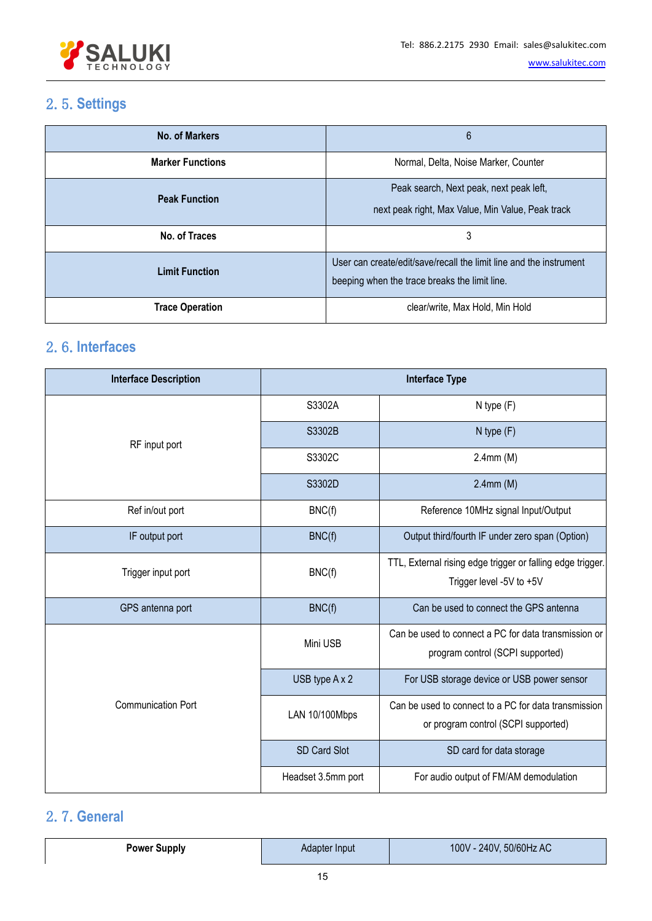

# <span id="page-14-0"></span>2.5.**Settings**

| <b>No. of Markers</b>   | 6                                                                                                                   |
|-------------------------|---------------------------------------------------------------------------------------------------------------------|
| <b>Marker Functions</b> | Normal, Delta, Noise Marker, Counter                                                                                |
| <b>Peak Function</b>    | Peak search, Next peak, next peak left,<br>next peak right, Max Value, Min Value, Peak track                        |
| No. of Traces           | 3                                                                                                                   |
| <b>Limit Function</b>   | User can create/edit/save/recall the limit line and the instrument<br>beeping when the trace breaks the limit line. |
| <b>Trace Operation</b>  | clear/write, Max Hold, Min Hold                                                                                     |

# <span id="page-14-1"></span>2.6.**Interfaces**

| <b>Interface Description</b> | <b>Interface Type</b> |                                                                                             |
|------------------------------|-----------------------|---------------------------------------------------------------------------------------------|
| RF input port                | S3302A                | $N$ type $(F)$                                                                              |
|                              | S3302B                | $N$ type $(F)$                                                                              |
|                              | S3302C                | $2.4$ mm $(M)$                                                                              |
|                              | S3302D                | $2.4$ mm $(M)$                                                                              |
| Ref in/out port              | BNC(f)                | Reference 10MHz signal Input/Output                                                         |
| IF output port               | BNC(f)                | Output third/fourth IF under zero span (Option)                                             |
| Trigger input port           | BNC(f)                | TTL, External rising edge trigger or falling edge trigger.<br>Trigger level -5V to +5V      |
| GPS antenna port             | BNC(f)                | Can be used to connect the GPS antenna                                                      |
|                              | Mini USB              | Can be used to connect a PC for data transmission or<br>program control (SCPI supported)    |
|                              | USB type A x 2        | For USB storage device or USB power sensor                                                  |
| <b>Communication Port</b>    | LAN 10/100Mbps        | Can be used to connect to a PC for data transmission<br>or program control (SCPI supported) |
|                              | SD Card Slot          | SD card for data storage                                                                    |
|                              | Headset 3.5mm port    | For audio output of FM/AM demodulation                                                      |

# <span id="page-14-2"></span>2.7.**General**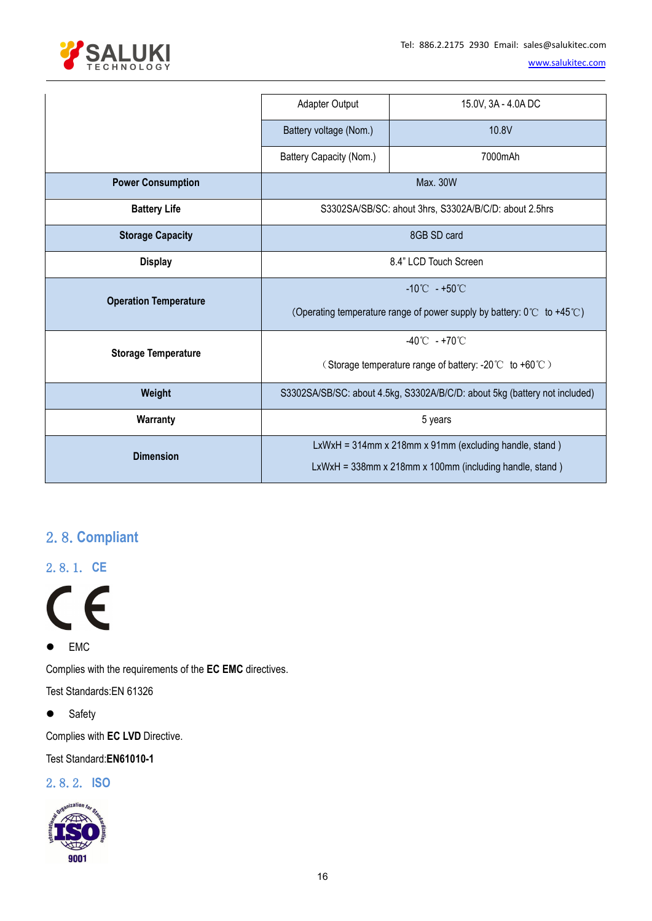

|                              | Adapter Output                                                                            | 15.0V, 3A - 4.0A DC |
|------------------------------|-------------------------------------------------------------------------------------------|---------------------|
|                              | Battery voltage (Nom.)                                                                    | 10.8V               |
|                              | Battery Capacity (Nom.)                                                                   | 7000mAh             |
| <b>Power Consumption</b>     | Max. 30W                                                                                  |                     |
| <b>Battery Life</b>          | S3302SA/SB/SC: ahout 3hrs, S3302A/B/C/D: about 2.5hrs                                     |                     |
| <b>Storage Capacity</b>      | 8GB SD card                                                                               |                     |
| <b>Display</b>               | 8.4" LCD Touch Screen                                                                     |                     |
| <b>Operation Temperature</b> | $-10^{\circ}$ C $-+50^{\circ}$ C                                                          |                     |
|                              | (Operating temperature range of power supply by battery: $0^{\circ}$ to +45 $^{\circ}$ C) |                     |
| <b>Storage Temperature</b>   | -40°C - +70°C                                                                             |                     |
|                              | (Storage temperature range of battery: -20°C to +60°C)                                    |                     |
| Weight                       | S3302SA/SB/SC: about 4.5kg, S3302A/B/C/D: about 5kg (battery not included)                |                     |
| Warranty                     | 5 years                                                                                   |                     |
| <b>Dimension</b>             | LxWxH = 314mm x 218mm x 91mm (excluding handle, stand)                                    |                     |
|                              | LxWxH = 338mm x 218mm x 100mm (including handle, stand)                                   |                     |

# <span id="page-15-0"></span>2.8.**Compliant**

<span id="page-15-1"></span>2.8.1. **CE**



● EMC

Complies with the requirements of the **EC EMC** directives.

Test Standards:EN 61326

• Safety

Complies with **EC LVD** Directive.

Test Standard:**EN61010-1**

#### <span id="page-15-2"></span>2.8.2. **ISO**